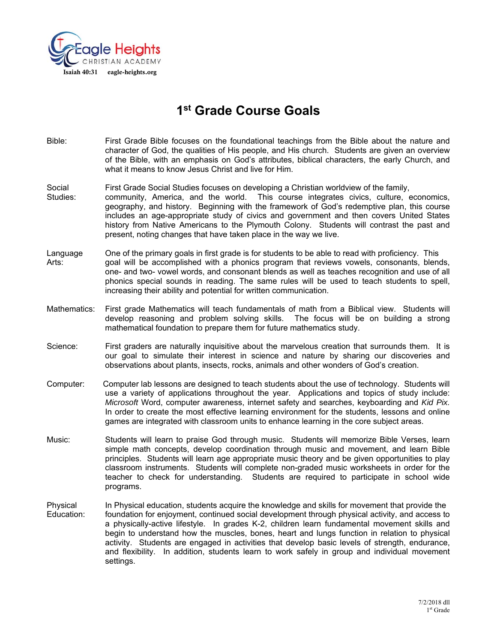

# **1st Grade Course Goals**

- Bible: First Grade Bible focuses on the foundational teachings from the Bible about the nature and character of God, the qualities of His people, and His church. Students are given an overview of the Bible, with an emphasis on God's attributes, biblical characters, the early Church, and what it means to know Jesus Christ and live for Him.
- Social First Grade Social Studies focuses on developing a Christian worldview of the family, Studies: community, America, and the world. This course integrates civics, culture, economics, geography, and history. Beginning with the framework of God's redemptive plan, this course includes an age-appropriate study of civics and government and then covers United States history from Native Americans to the Plymouth Colony. Students will contrast the past and present, noting changes that have taken place in the way we live.
- Language One of the primary goals in first grade is for students to be able to read with proficiency. This Arts: goal will be accomplished with a phonics program that reviews vowels, consonants, blends, one- and two- vowel words, and consonant blends as well as teaches recognition and use of all phonics special sounds in reading. The same rules will be used to teach students to spell, increasing their ability and potential for written communication.
- Mathematics: First grade Mathematics will teach fundamentals of math from a Biblical view. Students will develop reasoning and problem solving skills. The focus will be on building a strong mathematical foundation to prepare them for future mathematics study.
- Science: First graders are naturally inquisitive about the marvelous creation that surrounds them. It is our goal to simulate their interest in science and nature by sharing our discoveries and observations about plants, insects, rocks, animals and other wonders of God's creation.
- Computer: Computer lab lessons are designed to teach students about the use of technology. Students will use a variety of applications throughout the year. Applications and topics of study include: *Microsoft* Word, computer awareness, internet safety and searches, keyboarding and *Kid Pix.*  In order to create the most effective learning environment for the students, lessons and online games are integrated with classroom units to enhance learning in the core subject areas.
- Music: Students will learn to praise God through music. Students will memorize Bible Verses, learn simple math concepts, develop coordination through music and movement, and learn Bible principles. Students will learn age appropriate music theory and be given opportunities to play classroom instruments. Students will complete non-graded music worksheets in order for the teacher to check for understanding. Students are required to participate in school wide programs.
- Physical In Physical education, students acquire the knowledge and skills for movement that provide the Education: foundation for enjoyment, continued social development through physical activity, and access to a physically-active lifestyle. In grades K-2, children learn fundamental movement skills and begin to understand how the muscles, bones, heart and lungs function in relation to physical activity. Students are engaged in activities that develop basic levels of strength, endurance, and flexibility. In addition, students learn to work safely in group and individual movement settings.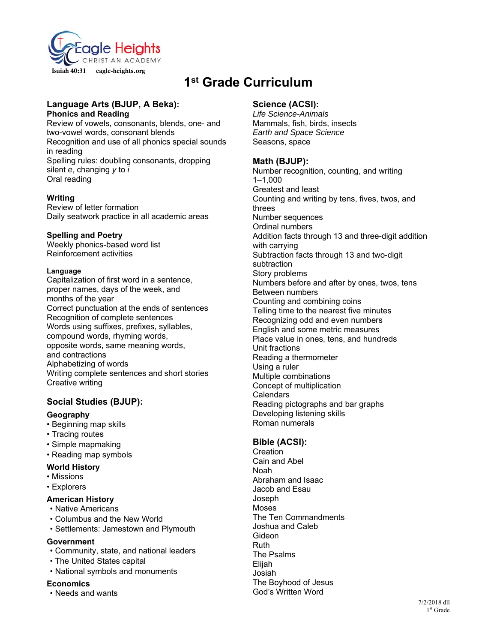

# **1st Grade Curriculum**

#### **Language Arts (BJUP, A Beka): Phonics and Reading**

Review of vowels, consonants, blends, one- and two-vowel words, consonant blends Recognition and use of all phonics special sounds in reading Spelling rules: doubling consonants, dropping silent *e*, changing *y* to *i*  Oral reading

## **Writing**

Review of letter formation Daily seatwork practice in all academic areas

#### **Spelling and Poetry**

Weekly phonics-based word list Reinforcement activities

#### **Language**

Capitalization of first word in a sentence, proper names, days of the week, and months of the year Correct punctuation at the ends of sentences Recognition of complete sentences Words using suffixes, prefixes, syllables, compound words, rhyming words, opposite words, same meaning words, and contractions Alphabetizing of words Writing complete sentences and short stories Creative writing

# **Social Studies (BJUP):**

## **Geography**

- Beginning map skills
- Tracing routes
- Simple mapmaking
- Reading map symbols

## **World History**

- Missions
- Explorers

## **American History**

- Native Americans
- Columbus and the New World
- Settlements: Jamestown and Plymouth

## **Government**

- Community, state, and national leaders
- The United States capital
- National symbols and monuments

## **Economics**

• Needs and wants

# **Science (ACSI):**

*Life Science-Animals*  Mammals, fish, birds, insects *Earth and Space Science*  Seasons, space

# **Math (BJUP):**

Number recognition, counting, and writing 1–1,000 Greatest and least Counting and writing by tens, fives, twos, and threes Number sequences Ordinal numbers Addition facts through 13 and three-digit addition with carrying Subtraction facts through 13 and two-digit subtraction Story problems Numbers before and after by ones, twos, tens Between numbers Counting and combining coins Telling time to the nearest five minutes Recognizing odd and even numbers English and some metric measures Place value in ones, tens, and hundreds Unit fractions Reading a thermometer Using a ruler Multiple combinations Concept of multiplication Calendars Reading pictographs and bar graphs Developing listening skills Roman numerals

# **Bible (ACSI):**

**Creation** Cain and Abel Noah Abraham and Isaac Jacob and Esau Joseph Moses The Ten Commandments Joshua and Caleb Gideon Ruth The Psalms Elijah Josiah The Boyhood of Jesus God's Written Word